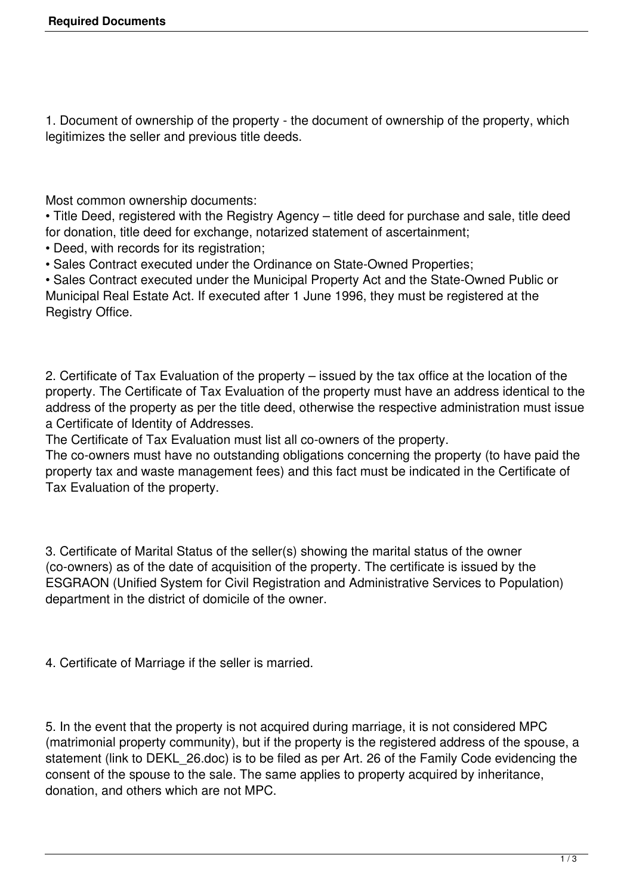1. Document of ownership of the property - the document of ownership of the property, which legitimizes the seller and previous title deeds.

Most common ownership documents:

• Title Deed, registered with the Registry Agency – title deed for purchase and sale, title deed for donation, title deed for exchange, notarized statement of ascertainment;

- Deed, with records for its registration;
- Sales Contract executed under the Ordinance on State-Owned Properties;

• Sales Contract executed under the Municipal Property Act and the State-Owned Public or Municipal Real Estate Act. If executed after 1 June 1996, they must be registered at the Registry Office.

2. Certificate of Tax Evaluation of the property – issued by the tax office at the location of the property. The Certificate of Tax Evaluation of the property must have an address identical to the address of the property as per the title deed, otherwise the respective administration must issue a Certificate of Identity of Addresses.

The Certificate of Tax Evaluation must list all co-owners of the property.

The co-owners must have no outstanding obligations concerning the property (to have paid the property tax and waste management fees) and this fact must be indicated in the Certificate of Tax Evaluation of the property.

3. Certificate of Marital Status of the seller(s) showing the marital status of the owner (co-owners) as of the date of acquisition of the property. The certificate is issued by the ESGRAON (Unified System for Civil Registration and Administrative Services to Population) department in the district of domicile of the owner.

4. Certificate of Marriage if the seller is married.

5. In the event that the property is not acquired during marriage, it is not considered MPC (matrimonial property community), but if the property is the registered address of the spouse, a statement (link to DEKL\_26.doc) is to be filed as per Art. 26 of the Family Code evidencing the consent of the spouse to the sale. The same applies to property acquired by inheritance, donation, and others which are not MPC.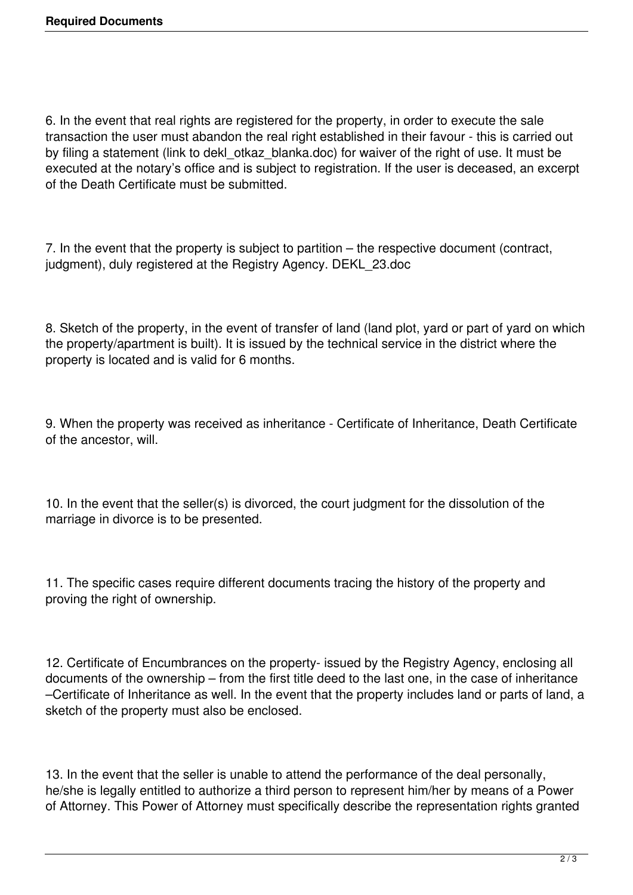6. In the event that real rights are registered for the property, in order to execute the sale transaction the user must abandon the real right established in their favour - this is carried out by filing a statement (link to dekl\_otkaz\_blanka.doc) for waiver of the right of use. It must be executed at the notary's office and is subject to registration. If the user is deceased, an excerpt of the Death Certificate must be submitted.

7. In the event that the property is subject to partition – the respective document (contract, judgment), duly registered at the Registry Agency. DEKL\_23.doc

8. Sketch of the property, in the event of transfer of land (land plot, yard or part of yard on which the property/apartment is built). It is issued by the technical service in the district where the property is located and is valid for 6 months.

9. When the property was received as inheritance - Certificate of Inheritance, Death Certificate of the ancestor, will.

10. In the event that the seller(s) is divorced, the court judgment for the dissolution of the marriage in divorce is to be presented.

11. The specific cases require different documents tracing the history of the property and proving the right of ownership.

12. Certificate of Encumbrances on the property- issued by the Registry Agency, enclosing all documents of the ownership – from the first title deed to the last one, in the case of inheritance –Certificate of Inheritance as well. In the event that the property includes land or parts of land, a sketch of the property must also be enclosed.

13. In the event that the seller is unable to attend the performance of the deal personally, he/she is legally entitled to authorize a third person to represent him/her by means of a Power of Attorney. This Power of Attorney must specifically describe the representation rights granted